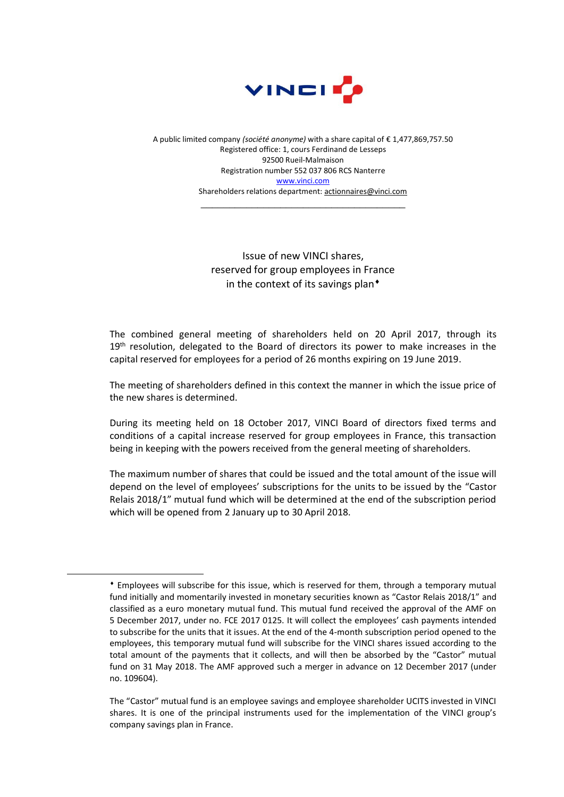

A public limited company *(société anonyme)* with a share capital of € 1,477,869,757.50 Registered office: 1, cours Ferdinand de Lesseps 92500 Rueil-Malmaison Registration number 552 037 806 RCS Nanterre [www.vinci.com](http://www.vinci.com/) Shareholders relations department: actionnaires@vinci.com

\_\_\_\_\_\_\_\_\_\_\_\_\_\_\_\_\_\_\_\_\_\_\_\_\_\_\_\_\_\_\_\_\_\_\_\_

Issue of new VINCI shares, reserved for group employees in France in the context of its savings plan<sup>+</sup>

The combined general meeting of shareholders held on 20 April 2017, through its 19<sup>th</sup> resolution, delegated to the Board of directors its power to make increases in the capital reserved for employees for a period of 26 months expiring on 19 June 2019.

The meeting of shareholders defined in this context the manner in which the issue price of the new shares is determined.

During its meeting held on 18 October 2017, VINCI Board of directors fixed terms and conditions of a capital increase reserved for group employees in France, this transaction being in keeping with the powers received from the general meeting of shareholders.

The maximum number of shares that could be issued and the total amount of the issue will depend on the level of employees' subscriptions for the units to be issued by the "Castor Relais 2018/1" mutual fund which will be determined at the end of the subscription period which will be opened from 2 January up to 30 April 2018.

 $\overline{a}$ 

Employees will subscribe for this issue, which is reserved for them, through a temporary mutual fund initially and momentarily invested in monetary securities known as "Castor Relais 2018/1" and classified as a euro monetary mutual fund. This mutual fund received the approval of the AMF on 5 December 2017, under no. FCE 2017 0125. It will collect the employees' cash payments intended to subscribe for the units that it issues. At the end of the 4-month subscription period opened to the employees, this temporary mutual fund will subscribe for the VINCI shares issued according to the total amount of the payments that it collects, and will then be absorbed by the "Castor" mutual fund on 31 May 2018. The AMF approved such a merger in advance on 12 December 2017 (under no. 109604).

The "Castor" mutual fund is an employee savings and employee shareholder UCITS invested in VINCI shares. It is one of the principal instruments used for the implementation of the VINCI group's company savings plan in France.